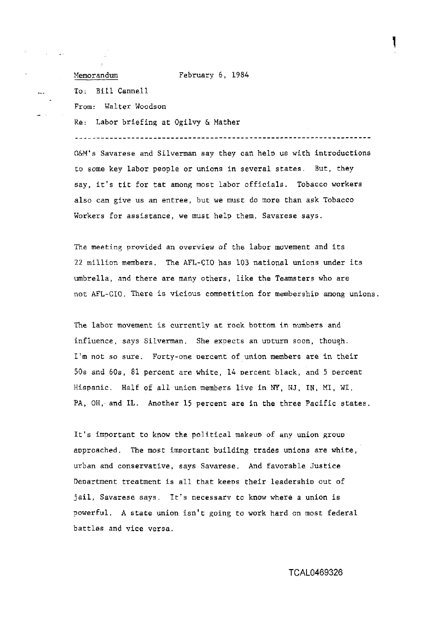Memorandum February 6, 1984

To: Bill Cannell

From: Walter Woodson

Re: Labor briefing at Ogilvy & Mather

----------------------------------------*-----*

O&M's Savarese and Silverman say they can help us with introductions to some key labor people or unions in several states. But, they say, it's tit for tat among most labor officials. Tobacco workers also can give us an entree, but we must do more than ask Tobacco Workers for assistance, we must help them, Savarese says.

The meeting provided an overview of the labor movement and its 22 million members. The AFL-CIO has 103 national unions under its umbrella, and there are many others. like the Teamsters who are not AFL-CIO. There is vicious competition for membership among unions.

The labor movement is currentlv at rock bottom in numbers and influence, says Silverman. She expects an uuturn soon, though. I'm not so sure, Forty-one percent of union members are in their 50s and **60s,** 81 percent are white, 14 percent black, and 5 Dercent Hispanic. Half of all union members live in NY, NJ, IN, MI, WI, PA, OH, and IL. Another 15 percent are in the three Pacific states.

It's important to know the political makeup of any union group approached. The most important building trades unions are white, urban and conservative, says Savarese. And favorable Justice Department treatment is all that keeps their leadership out of jail, Savarese says. It's necessarv to know where a union is powerful. A state union isn't going to work hard on most federal battles and vice versa.

**TCAL0469326**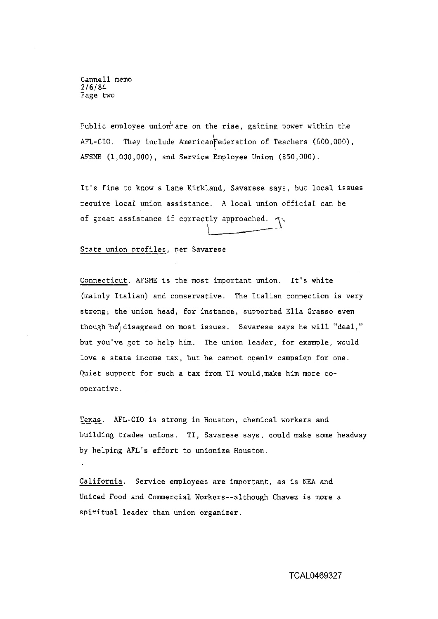Cannell memo 2/6/84 Page two

Public employee union are on the rise, gaining power within the  $AFL-CIO.$  They include American Federation of Teachers (600,000), AFSME (1,000,000), and Service Employee Union (850,000).

It's fine to know a Lane Kirkland, Savarese says, but local issues require local union assistance. A local union official can be Public employee union<sup>6</sup> are on the rise, gaining power within the<br>AFL-CIO. They include American Federation of Teachers (600,000),<br>AFSME (1,000,000), and Service Employee Union (850,000).<br>It's fine to know a Lane Kirkland

## State union profiles, per Savarese

Connecticut. AFSME is the most important union. It's white (mainly Italian) and conservative. The Italian connection is very strong; the union head, for instance, supported Ella Grasso even though he disagreed on most issues. Savarese says he will "deal," but you've got to help him. The union leader, for example, would love a state income tax, but he cannot openly campaign for one. Ouiet support for such a tax from TI would, make him more cooperative.

Texas. AFL-CIO is strong in Houston, chemical workers and building trades unions. TI, Savarese says, could make some headway by helping AFL's effort to unionize Houston.

California. Service employees are important, as is NEA and United Food and Commercial Workers--although Chavez is more a spiritual leader than union organizer.